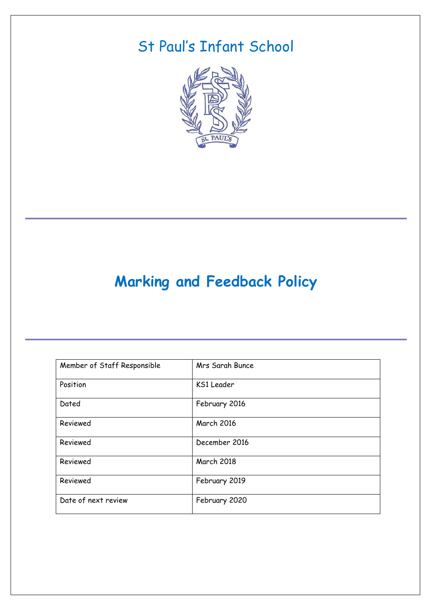# St Paul's Infant School



# **Marking and Feedback Policy**

| Member of Staff Responsible | Mrs Sarah Bunce   |
|-----------------------------|-------------------|
| Position                    | KS1 Leader        |
| Dated                       | February 2016     |
| Reviewed                    | <b>March 2016</b> |
| Reviewed                    | December 2016     |
| Reviewed                    | March 2018        |
| Reviewed                    | February 2019     |
| Date of next review         | February 2020     |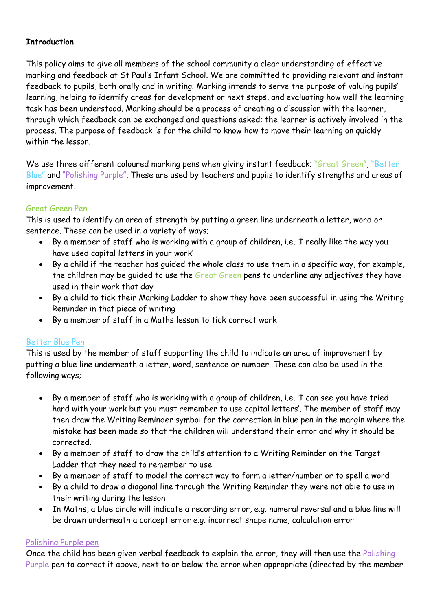## **Introduction**

This policy aims to give all members of the school community a clear understanding of effective marking and feedback at St Paul's Infant School. We are committed to providing relevant and instant feedback to pupils, both orally and in writing. Marking intends to serve the purpose of valuing pupils' learning, helping to identify areas for development or next steps, and evaluating how well the learning task has been understood. Marking should be a process of creating a discussion with the learner, through which feedback can be exchanged and questions asked; the learner is actively involved in the process. The purpose of feedback is for the child to know how to move their learning on quickly within the lesson.

We use three different coloured marking pens when giving instant feedback; "Great Green", "Better Blue" and "Polishing Purple". These are used by teachers and pupils to identify strengths and areas of improvement.

## Great Green Pen

This is used to identify an area of strength by putting a green line underneath a letter, word or sentence. These can be used in a variety of ways;

- By a member of staff who is working with a group of children, i.e. 'I really like the way you have used capital letters in your work'
- By a child if the teacher has guided the whole class to use them in a specific way, for example, the children may be guided to use the Great Green pens to underline any adjectives they have used in their work that day
- By a child to tick their Marking Ladder to show they have been successful in using the Writing Reminder in that piece of writing
- By a member of staff in a Maths lesson to tick correct work

# Better Blue Pen

This is used by the member of staff supporting the child to indicate an area of improvement by putting a blue line underneath a letter, word, sentence or number. These can also be used in the following ways;

- By a member of staff who is working with a group of children, i.e. 'I can see you have tried hard with your work but you must remember to use capital letters'. The member of staff may then draw the Writing Reminder symbol for the correction in blue pen in the margin where the mistake has been made so that the children will understand their error and why it should be corrected.
- By a member of staff to draw the child's attention to a Writing Reminder on the Target Ladder that they need to remember to use
- By a member of staff to model the correct way to form a letter/number or to spell a word
- By a child to draw a diagonal line through the Writing Reminder they were not able to use in their writing during the lesson
- In Maths, a blue circle will indicate a recording error, e.g. numeral reversal and a blue line will be drawn underneath a concept error e.g. incorrect shape name, calculation error

## Polishing Purple pen

Once the child has been given verbal feedback to explain the error, they will then use the Polishing Purple pen to correct it above, next to or below the error when appropriate (directed by the member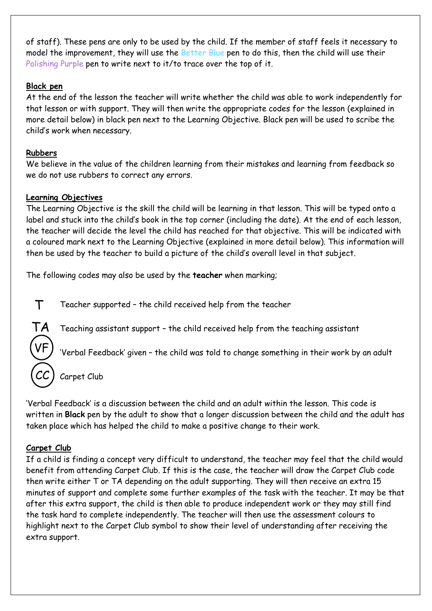of staff). These pens are only to be used by the child. If the member of staff feels it necessary to model the improvement, they will use the Better Blue pen to do this, then the child will use their Polishing Purple pen to write next to it/to trace over the top of it.

## **Black pen**

At the end of the lesson the teacher will write whether the child was able to work independently for that lesson or with support. They will then write the appropriate codes for the lesson (explained in more detail below) in black pen next to the Learning Objective. Black pen will be used to scribe the child's work when necessary.

# **Rubbers**

We believe in the value of the children learning from their mistakes and learning from feedback so we do not use rubbers to correct any errors.

# **Learning Objectives**

The Learning Objective is the skill the child will be learning in that lesson. This will be typed onto a label and stuck into the child's book in the top corner (including the date). At the end of each lesson, the teacher will decide the level the child has reached for that objective. This will be indicated with a coloured mark next to the Learning Objective (explained in more detail below). This information will then be used by the teacher to build a picture of the child's overall level in that subject.

The following codes may also be used by the **teacher** when marking;

T Teacher supported – the child received help from the teacher

Teaching assistant support – the child received help from the teaching assistant



'Verbal Feedback' given – the child was told to change something in their work by an adult

Carpet Club

'Verbal Feedback' is a discussion between the child and an adult within the lesson. This code is written in **Black** pen by the adult to show that a longer discussion between the child and the adult has taken place which has helped the child to make a positive change to their work.

# **Carpet Club**

If a child is finding a concept very difficult to understand, the teacher may feel that the child would benefit from attending Carpet Club. If this is the case, the teacher will draw the Carpet Club code then write either T or TA depending on the adult supporting. They will then receive an extra 15 minutes of support and complete some further examples of the task with the teacher. It may be that after this extra support, the child is then able to produce independent work or they may still find the task hard to complete independently. The teacher will then use the assessment colours to highlight next to the Carpet Club symbol to show their level of understanding after receiving the extra support.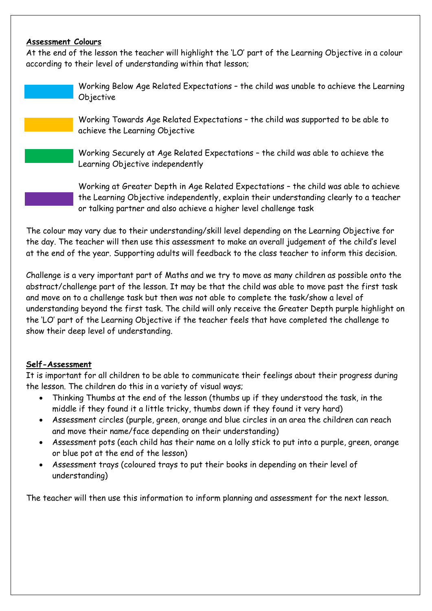### **Assessment Colours**

At the end of the lesson the teacher will highlight the 'LO' part of the Learning Objective in a colour according to their level of understanding within that lesson;

> Working Below Age Related Expectations – the child was unable to achieve the Learning Objective

Working Towards Age Related Expectations – the child was supported to be able to achieve the Learning Objective

Working Securely at Age Related Expectations – the child was able to achieve the Learning Objective independently

Working at Greater Depth in Age Related Expectations – the child was able to achieve the Learning Objective independently, explain their understanding clearly to a teacher or talking partner and also achieve a higher level challenge task

The colour may vary due to their understanding/skill level depending on the Learning Objective for the day. The teacher will then use this assessment to make an overall judgement of the child's level at the end of the year. Supporting adults will feedback to the class teacher to inform this decision.

Challenge is a very important part of Maths and we try to move as many children as possible onto the abstract/challenge part of the lesson. It may be that the child was able to move past the first task and move on to a challenge task but then was not able to complete the task/show a level of understanding beyond the first task. The child will only receive the Greater Depth purple highlight on the 'LO' part of the Learning Objective if the teacher feels that have completed the challenge to show their deep level of understanding.

# **Self-Assessment**

It is important for all children to be able to communicate their feelings about their progress during the lesson. The children do this in a variety of visual ways;

- Thinking Thumbs at the end of the lesson (thumbs up if they understood the task, in the middle if they found it a little tricky, thumbs down if they found it very hard)
- Assessment circles (purple, green, orange and blue circles in an area the children can reach and move their name/face depending on their understanding)
- Assessment pots (each child has their name on a lolly stick to put into a purple, green, orange or blue pot at the end of the lesson)
- Assessment trays (coloured trays to put their books in depending on their level of understanding)

The teacher will then use this information to inform planning and assessment for the next lesson.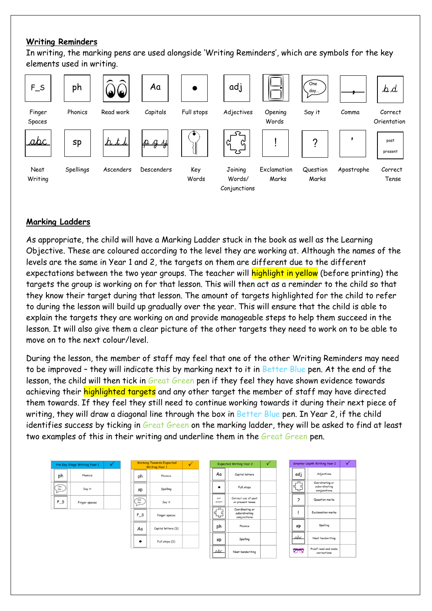## **Writing Reminders**

In writing, the marking pens are used alongside 'Writing Reminders', which are symbols for the key elements used in writing.



# **Marking Ladders**

As appropriate, the child will have a Marking Ladder stuck in the book as well as the Learning Objective. These are coloured according to the level they are working at. Although the names of the levels are the same in Year 1 and 2, the targets on them are different due to the different expectations between the two year groups. The teacher will highlight in yellow (before printing) the targets the group is working on for that lesson. This will then act as a reminder to the child so that they know their target during that lesson. The amount of targets highlighted for the child to refer to during the lesson will build up gradually over the year. This will ensure that the child is able to explain the targets they are working on and provide manageable steps to help them succeed in the lesson. It will also give them a clear picture of the other targets they need to work on to be able to move on to the next colour/level.

During the lesson, the member of staff may feel that one of the other Writing Reminders may need to be improved – they will indicate this by marking next to it in Better Blue pen. At the end of the lesson, the child will then tick in Great Green pen if they feel they have shown evidence towards achieving their highlighted targets and any other target the member of staff may have directed them towards. If they feel they still need to continue working towards it during their next piece of writing, they will draw a diagonal line through the box in Better Blue pen. In Year 2, if the child identifies success by ticking in Great Green on the marking ladder, they will be asked to find at least two examples of this in their writing and underline them in the Great Green pen.

| Pre Key Stage Writing Year 1<br>v            |               | <b>Working Towards Expected</b><br><b>Writing Year 1</b> |                                         | $\sqrt{}$           | <b>Expected Writing Year 2</b> |                    |                                                  | Greater Depth Writing Year 2 |  |                    | ✓                                                |  |
|----------------------------------------------|---------------|----------------------------------------------------------|-----------------------------------------|---------------------|--------------------------------|--------------------|--------------------------------------------------|------------------------------|--|--------------------|--------------------------------------------------|--|
| ph                                           | Phonics       |                                                          | ph                                      | Phonics             |                                | Aa                 | Capital letters                                  |                              |  | adj                | Adjectives                                       |  |
| One<br>$\overline{\mathcal{L}}^{\text{day}}$ | Say it        |                                                          | sp                                      | Spelling            |                                | $\bullet$          | Full stops                                       |                              |  | ےے<br>ິ<br>ແ<br>ىہ | Coordinating or<br>subordinating<br>conjunctions |  |
| $F_S$                                        | Finger spaces |                                                          | One<br>$\stackrel{day-}{\phantom{\!}+}$ | Say it              |                                | post<br>present    | Correct use of past<br>or present tense          |                              |  | っ                  | Question marks                                   |  |
|                                              |               |                                                          | $F_S$                                   | Finger spaces       |                                | لۍ<br>س<br>q<br>ےب | Coordinating or<br>subordinating<br>conjunctions |                              |  |                    | <b>Exclamation marks</b>                         |  |
|                                              |               |                                                          | Aa                                      | Capital letters (S) |                                | ph                 | Phonics                                          |                              |  | sp                 | Spelling                                         |  |
|                                              |               |                                                          |                                         | Full stops (S)      |                                | sp                 | Spelling                                         |                              |  | abc.               | Neat handwriting                                 |  |
|                                              |               |                                                          |                                         |                     |                                | abc.               | Neat handwriting                                 |                              |  | $\triangledown$    | Proof read and make<br>corrections               |  |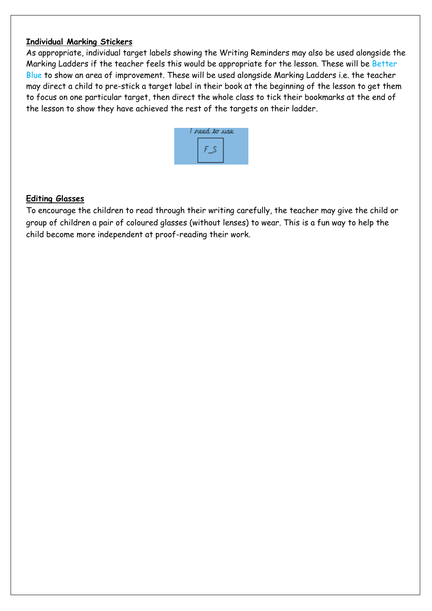### **Individual Marking Stickers**

As appropriate, individual target labels showing the Writing Reminders may also be used alongside the Marking Ladders if the teacher feels this would be appropriate for the lesson. These will be Better Blue to show an area of improvement. These will be used alongside Marking Ladders i.e. the teacher may direct a child to pre-stick a target label in their book at the beginning of the lesson to get them to focus on one particular target, then direct the whole class to tick their bookmarks at the end of the lesson to show they have achieved the rest of the targets on their ladder.



## **Editing Glasses**

To encourage the children to read through their writing carefully, the teacher may give the child or group of children a pair of coloured glasses (without lenses) to wear. This is a fun way to help the child become more independent at proof-reading their work.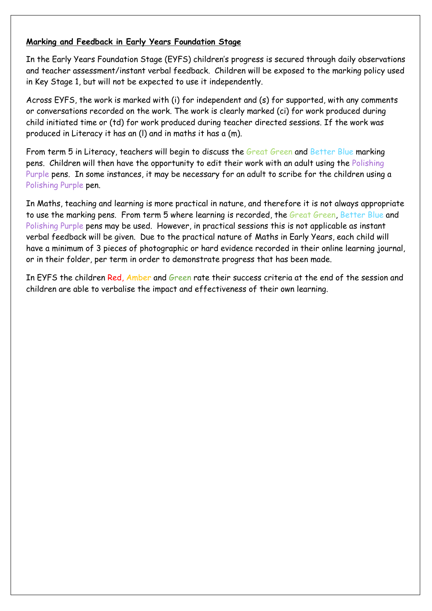## **Marking and Feedback in Early Years Foundation Stage**

In the Early Years Foundation Stage (EYFS) children's progress is secured through daily observations and teacher assessment/instant verbal feedback. Children will be exposed to the marking policy used in Key Stage 1, but will not be expected to use it independently.

Across EYFS, the work is marked with (i) for independent and (s) for supported, with any comments or conversations recorded on the work. The work is clearly marked (ci) for work produced during child initiated time or (td) for work produced during teacher directed sessions. If the work was produced in Literacy it has an (l) and in maths it has a (m).

From term 5 in Literacy, teachers will begin to discuss the Great Green and Better Blue marking pens. Children will then have the opportunity to edit their work with an adult using the Polishing Purple pens. In some instances, it may be necessary for an adult to scribe for the children using a Polishing Purple pen.

In Maths, teaching and learning is more practical in nature, and therefore it is not always appropriate to use the marking pens. From term 5 where learning is recorded, the Great Green, Better Blue and Polishing Purple pens may be used. However, in practical sessions this is not applicable as instant verbal feedback will be given. Due to the practical nature of Maths in Early Years, each child will have a minimum of 3 pieces of photographic or hard evidence recorded in their online learning journal, or in their folder, per term in order to demonstrate progress that has been made.

In EYFS the children Red, Amber and Green rate their success criteria at the end of the session and children are able to verbalise the impact and effectiveness of their own learning.